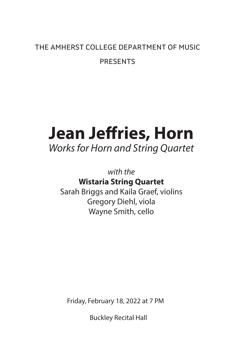# THE AMHERST COLLEGE DEPARTMENT OF MUSIC PRESENTS

# **Jean Jeffries, Horn**

*Works for Horn and String Quartet*

*with the* 

**Wistaria String Quartet**

Sarah Briggs and Kaila Graef, violins Gregory Diehl, viola Wayne Smith, cello

Friday, February 18, 2022 at 7 PM

Buckley Recital Hall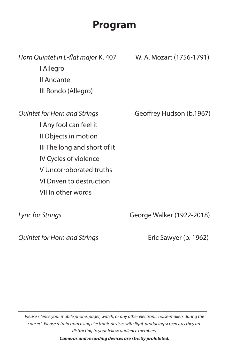# **Program**

*Horn Quintet in E-flat major* K. 407 W. A. Mozart (1756-1791) I Allegro II Andante III Rondo (Allegro)

I Any fool can feel it II Objects in motion III The long and short of it IV Cycles of violence V Uncorroborated truths VI Driven to destruction VII In other words

*Quintet for Horn and Strings* Geoffrey Hudson (b.1967)

*Lyric for Strings* George Walker (1922-2018)

*Quintet for Horn and Strings* Eric Sawyer (b. 1962)

*Please silence your mobile phone, pager, watch, or any other electronic noise-makers during the concert. Please refrain from using electronic devices with light-producing screens, as they are distracting to your fellow audience members.*

*\_\_\_\_\_\_\_\_\_\_\_\_\_\_\_\_\_\_\_\_\_\_\_\_\_\_\_\_\_\_\_\_\_\_\_\_\_\_\_\_\_\_\_\_\_\_\_\_\_\_\_\_\_\_\_\_\_\_*

*Cameras and recording devices are strictly prohibited.*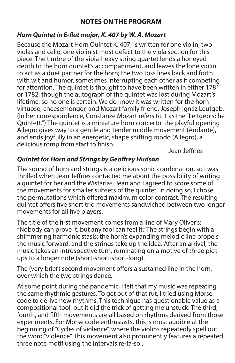# **NOTES ON THE PROGRAM**

#### *Horn Quintet in E-flat major, K. 407 by W. A. Mozart*

Because the Mozart Horn Quintet K. 407, is written for one violin, two violas and cello, one violinist must defect to the viola section for this piece. The timbre of the viola-heavy string quartet lends a honeyed depth to the horn quintet's accompaniment, and leaves the lone violin to act as a duet partner for the horn; the two toss lines back and forth with wit and humor, sometimes interrupting each other as if competing for attention. The quintet is thought to have been written in either 1781 or 1782, though the autograph of the quintet was lost during Mozart's lifetime, so no one is certain. We do know it was written for the horn virtuoso, cheesemonger, and Mozart family friend, Joseph Ignaz Leutgeb. (In her correspondence, Constanze Mozart refers to it as the "Leitgebische Quintett.") The quintet is a miniature horn concerto: the playful opening Allegro gives way to a gentle and tender middle movement (Andante), and ends joyfully in an energetic, shape shifting rondo (Allegro), a delicious romp from start to finish.

-Jean Jeffries

# *Quintet for Horn and Strings by Geoffrey Hudson*

The sound of horn and strings is a delicious sonic combination, so I was thrilled when Jean Jeffries contacted me about the possibility of writing a quintet for her and the Wistarias. Jean and I agreed to score some of the movements for smaller subsets of the quintet. In doing so, I chose the permutations which offered maximum color contrast. The resulting quintet offers five short trio movements sandwiched between two longer movements for all five players.

The title of the first movement comes from a line of Mary Oliver's: "Nobody can prove it, but any fool can feel it." The strings begin with a shimmering harmonic stasis; the horn's expanding melodic line propels the music forward, and the strings take up the idea. After an arrival, the music takes an introspective turn, ruminating on a motive of three pickups to a longer note (short-short-short-long).

The (very brief) second movement offers a sustained line in the horn, over which the two strings dance.

At some point during the pandemic, I felt that my music was repeating the same rhythmic gestures. To get out of that rut, I tried using Morse code to derive new rhythms. This technique has questionable value as a compositional tool, but it did the trick of getting me unstuck. The third, fourth, and fifth movements are all based on rhythms derived from those experiments. For Morse code enthusiasts, this is most audible at the beginning of "Cycles of violence", where the violins repeatedly spell out the word "violence". This movement also prominently features a repeated three note motif using the intervals re-fa-sol.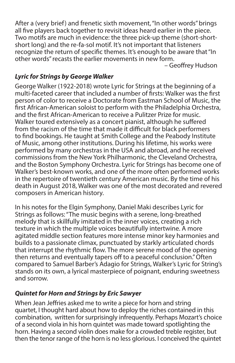After a (very brief) and frenetic sixth movement, "In other words" brings all five players back together to revisit ideas heard earlier in the piece. Two motifs are much in evidence: the three pick-up theme (short-shortshort long) and the re-fa-sol motif. It's not important that listeners recognize the return of specific themes. It's enough to be aware that "In other words" recasts the earlier movements in new form.

– Geoffrey Hudson

#### *Lyric for Strings by George Walker*

George Walker (1922-2018) wrote Lyric for Strings at the beginning of a multi-faceted career that included a number of firsts: Walker was the first person of color to receive a Doctorate from Eastman School of Music, the first African-American soloist to perform with the Philadelphia Orchestra, and the first African-American to receive a Pulitzer Prize for music. Walker toured extensively as a concert pianist, although he suffered from the racism of the time that made it difficult for black performers to find bookings. He taught at Smith College and the Peabody Institute of Music, among other institutions. During his lifetime, his works were performed by many orchestras in the USA and abroad, and he received commissions from the New York Philharmonic, the Cleveland Orchestra, and the Boston Symphony Orchestra. Lyric for Strings has become one of Walker's best-known works, and one of the more often performed works in the repertoire of twentieth century American music. By the time of his death in August 2018, Walker was one of the most decorated and revered composers in American history.

In his notes for the Elgin Symphony, Daniel Maki describes Lyric for Strings as follows: "The music begins with a serene, long-breathed melody that is skillfully imitated in the inner voices, creating a rich texture in which the multiple voices beautifully intertwine. A more agitated middle section features more intense minor key harmonies and builds to a passionate climax, punctuated by starkly articulated chords that interrupt the rhythmic flow. The more serene mood of the opening then returns and eventually tapers off to a peaceful conclusion." Often compared to Samuel Barber's Adagio for Strings, Walker's Lyric for String's stands on its own, a lyrical masterpiece of poignant, enduring sweetness and sorrow.

#### *Quintet for Horn and Strings by Eric Sawyer*

When Jean Jeffries asked me to write a piece for horn and string quartet, I thought hard about how to deploy the riches contained in this combination, written for surprisingly infrequently. Perhaps Mozart's choice of a second viola in his horn quintet was made toward spotlighting the horn. Having a second violin does make for a crowded treble register, but then the tenor range of the horn is no less glorious. I conceived the quintet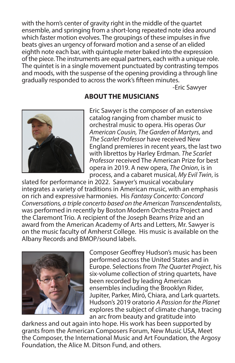with the horn's center of gravity right in the middle of the quartet ensemble, and springing from a short-long repeated note idea around which faster motion evolves. The groupings of these impulses in five beats gives an urgency of forward motion and a sense of an elided eighth note each bar, with quintuple meter baked into the expression of the piece. The instruments are equal partners, each with a unique role. The quintet is in a single movement punctuated by contrasting tempos and moods, with the suspense of the opening providing a through line gradually responded to across the work's fifteen minutes.

-Eric Sawyer



# **ABOUT THE MUSICIANS**

Eric Sawyer is the composer of an extensive catalog ranging from chamber music to orchestral music to opera. His operas *Our American Cousin, The Garden of Martyrs*, and *The Scarlet Professor* have received New England premieres in recent years, the last two with librettos by Harley Erdman. *The Scarlet Professor* received The American Prize for best opera in 2019. A new opera, *The Onion*, is in process, and a cabaret musical, *My Evil Twin*, is

slated for performance in 2022. Sawyer's musical vocabulary integrates a variety of traditions in American music, with an emphasis on rich and expressive harmonies. His *Fantasy Concerto: Concord Conversations, a triple concerto based on the American Transcendentalists*, was performed in recently by Boston Modern Orchestra Project and the Claremont Trio. A recipient of the Joseph Bearns Prize and an award from the American Academy of Arts and Letters, Mr. Sawyer is on the music faculty of Amherst College. His music is available on the Albany Records and BMOP/sound labels.



Composer Geoffrey Hudson's music has been performed across the United States and in Europe. Selections from *The Quartet Project*, his six-volume collection of string quartets, have been recorded by leading American ensembles including the Brooklyn Rider, Jupiter, Parker, Miró, Chiara, and Lark quartets. Hudson's 2019 oratorio *A Passion for the Planet*  explores the subject of climate change, tracing an arc from beauty and gratitude into

darkness and out again into hope. His work has been supported by grants from the American Composers Forum, New Music USA, Meet the Composer, the International Music and Art Foundation, the Argosy Foundation, the Alice M. Ditson Fund, and others.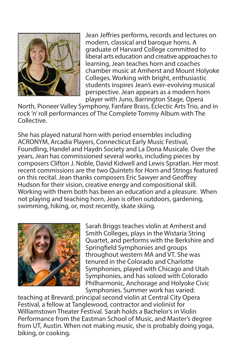

Jean Jeffries performs, records and lectures on modern, classical and baroque horns. A graduate of Harvard College committed to liberal arts education and creative approaches to learning, Jean teaches horn and coaches chamber music at Amherst and Mount Holyoke Colleges. Working with bright, enthusiastic students inspires Jean's ever-evolving musical perspective. Jean appears as a modern horn player with Juno, Barrington Stage, Opera

North, Pioneer Valley Symphony, Fanfare Brass, Eclectic Arts Trio, and in rock 'n' roll performances of The Complete Tommy Album with The Collective.

She has played natural horn with period ensembles including ACRONYM, Arcadia Players, Connecticut Early Music Festival, Foundling, Handel and Haydn Society and La Dona Musicale. Over the years, Jean has commissioned several works, including pieces by composers Clifton J. Noble, David Kidwell and Lewis Spratlan. Her most recent commissions are the two Quintets for Horn and Strings featured on this recital. Jean thanks composers Eric Sawyer and Geoffrey Hudson for their vision, creative energy and compositional skill. Working with them both has been an education and a pleasure. When not playing and teaching horn, Jean is often outdoors, gardening, swimming, hiking, or, most recently, skate skiing.



Sarah Briggs teaches violin at Amherst and Smith Colleges, plays in the Wistaria String Quartet, and performs with the Berkshire and Springfield Symphonies and groups throughout western MA and VT. She was tenured in the Colorado and Charlotte Symphonies, played with Chicago and Utah Symphonies, and has soloed with Colorado Philharmonic, Anchorage and Holyoke Civic Symphonies. Summer work has varied:

teaching at Brevard, principal second violin at Central City Opera Festival, a fellow at Tanglewood, contractor and violinist for Williamstown Theater Festival. Sarah holds a Bachelor's in Violin Performance from the Eastman School of Music, and Master's degree from UT, Austin. When not making music, she is probably doing yoga, biking, or cooking.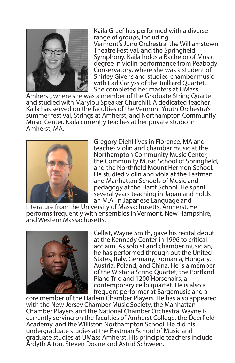

Kaila Graef has performed with a diverse range of groups, including Vermont's Juno Orchestra, the Williamstown Theatre Festival, and the Springfield Symphony. Kaila holds a Bachelor of Music degree in violin performance from Peabody Conservatory, where she was a student of Shirley Givens and studied chamber music with Earl Carlyss of the Juilliard Quartet. She completed her masters at UMass

Amherst, where she was a member of the Graduate String Quartet and studied with Marylou Speaker Churchill. A dedicated teacher, Kaila has served on the faculties of the Vermont Youth Orchestra's summer festival, Strings at Amherst, and Northampton Community Music Center. Kaila currently teaches at her private studio in Amherst, MA.



Gregory Diehl lives in Florence, MA and teaches violin and chamber music at the Northampton Community Music Center, the Community Music School of Springfield, and the Northfield Mount Hermon School. He studied violin and viola at the Eastman and Manhattan Schools of Music and pedagogy at the Hartt School. He spent several years teaching in Japan and holds an M.A. in Japanese Language and

Literature from the University of Massachusetts, Amherst. He performs frequently with ensembles in Vermont, New Hampshire, and Western Massachusetts.



Cellist, Wayne Smith, gave his recital debut at the Kennedy Center in 1996 to critical acclaim. As soloist and chamber musician, he has performed through out the United States, Italy, Germany, Romania, Hungary, Austria, Poland, and China. He is a member of the Wistaria String Quartet, the Portland Piano Trio and 1200 Horsehairs, a contemporary cello quartet. He is also a frequent performer at Bargemusic and a

core member of the Harlem Chamber Players. He has also appeared with the New Jersey Chamber Music Society, the Manhattan Chamber Players and the National Chamber Orchestra. Wayne is currently serving on the faculties of Amherst College, the Deerfield Academy, and the Williston Northampton School. He did his undergraduate studies at the Eastman School of Music and graduate studies at UMass Amherst. His principle teachers include Ardyth Alton, Steven Doane and Astrid Schween.